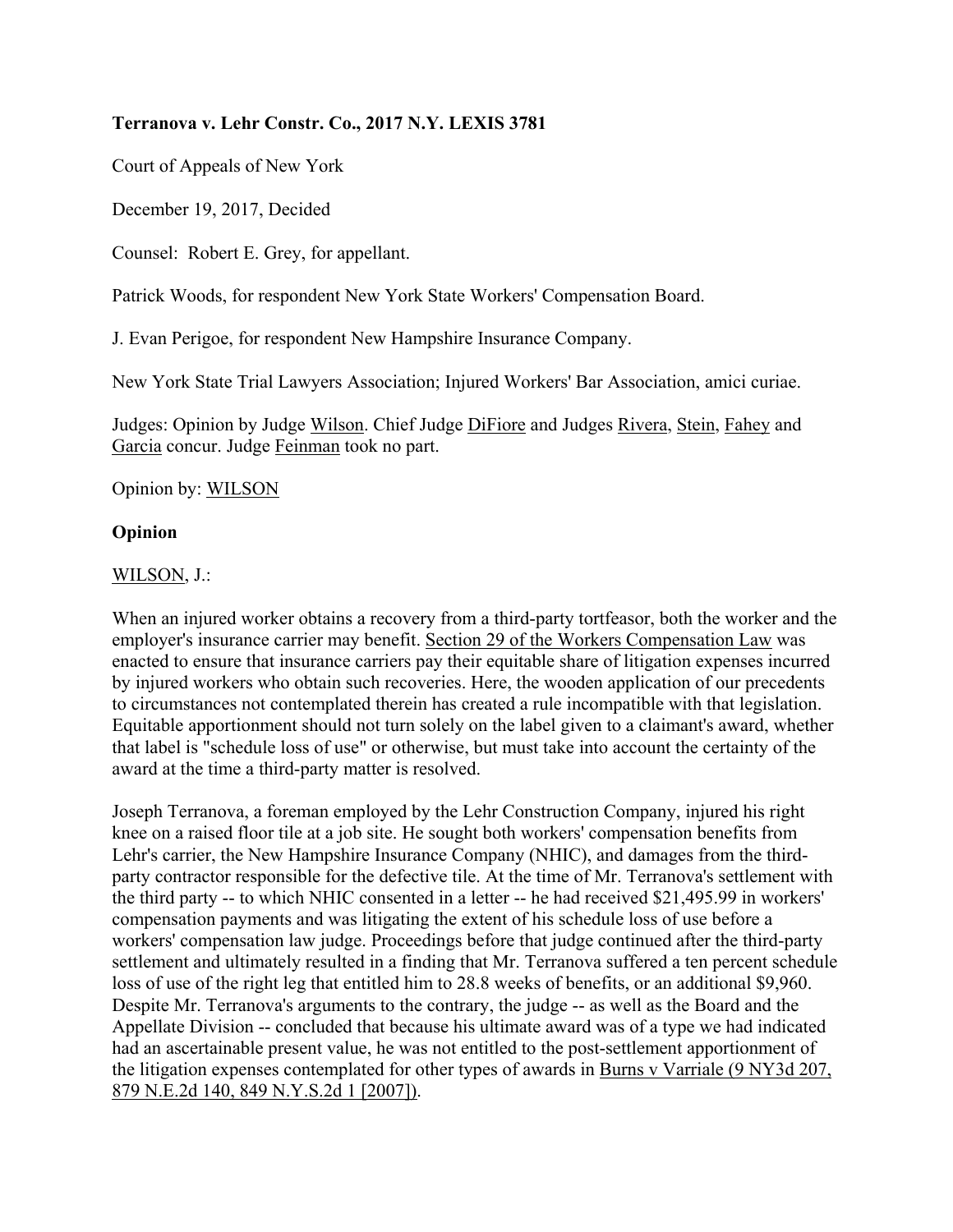## **Terranova v. Lehr Constr. Co., 2017 N.Y. LEXIS 3781**

Court of Appeals of New York

December 19, 2017, Decided

Counsel: Robert E. Grey, for appellant.

Patrick Woods, for respondent New York State Workers' Compensation Board.

J. Evan Perigoe, for respondent New Hampshire Insurance Company.

New York State Trial Lawyers Association; Injured Workers' Bar Association, amici curiae.

Judges: Opinion by Judge Wilson. Chief Judge DiFiore and Judges Rivera, Stein, Fahey and Garcia concur. Judge Feinman took no part.

Opinion by: WILSON

## **Opinion**

WILSON, J.:

When an injured worker obtains a recovery from a third-party tortfeasor, both the worker and the employer's insurance carrier may benefit. Section 29 of the Workers Compensation Law was enacted to ensure that insurance carriers pay their equitable share of litigation expenses incurred by injured workers who obtain such recoveries. Here, the wooden application of our precedents to circumstances not contemplated therein has created a rule incompatible with that legislation. Equitable apportionment should not turn solely on the label given to a claimant's award, whether that label is "schedule loss of use" or otherwise, but must take into account the certainty of the award at the time a third-party matter is resolved.

Joseph Terranova, a foreman employed by the Lehr Construction Company, injured his right knee on a raised floor tile at a job site. He sought both workers' compensation benefits from Lehr's carrier, the New Hampshire Insurance Company (NHIC), and damages from the thirdparty contractor responsible for the defective tile. At the time of Mr. Terranova's settlement with the third party -- to which NHIC consented in a letter -- he had received \$21,495.99 in workers' compensation payments and was litigating the extent of his schedule loss of use before a workers' compensation law judge. Proceedings before that judge continued after the third-party settlement and ultimately resulted in a finding that Mr. Terranova suffered a ten percent schedule loss of use of the right leg that entitled him to 28.8 weeks of benefits, or an additional \$9,960. Despite Mr. Terranova's arguments to the contrary, the judge -- as well as the Board and the Appellate Division -- concluded that because his ultimate award was of a type we had indicated had an ascertainable present value, he was not entitled to the post-settlement apportionment of the litigation expenses contemplated for other types of awards in Burns v Varriale (9 NY3d 207, 879 N.E.2d 140, 849 N.Y.S.2d 1 [2007]).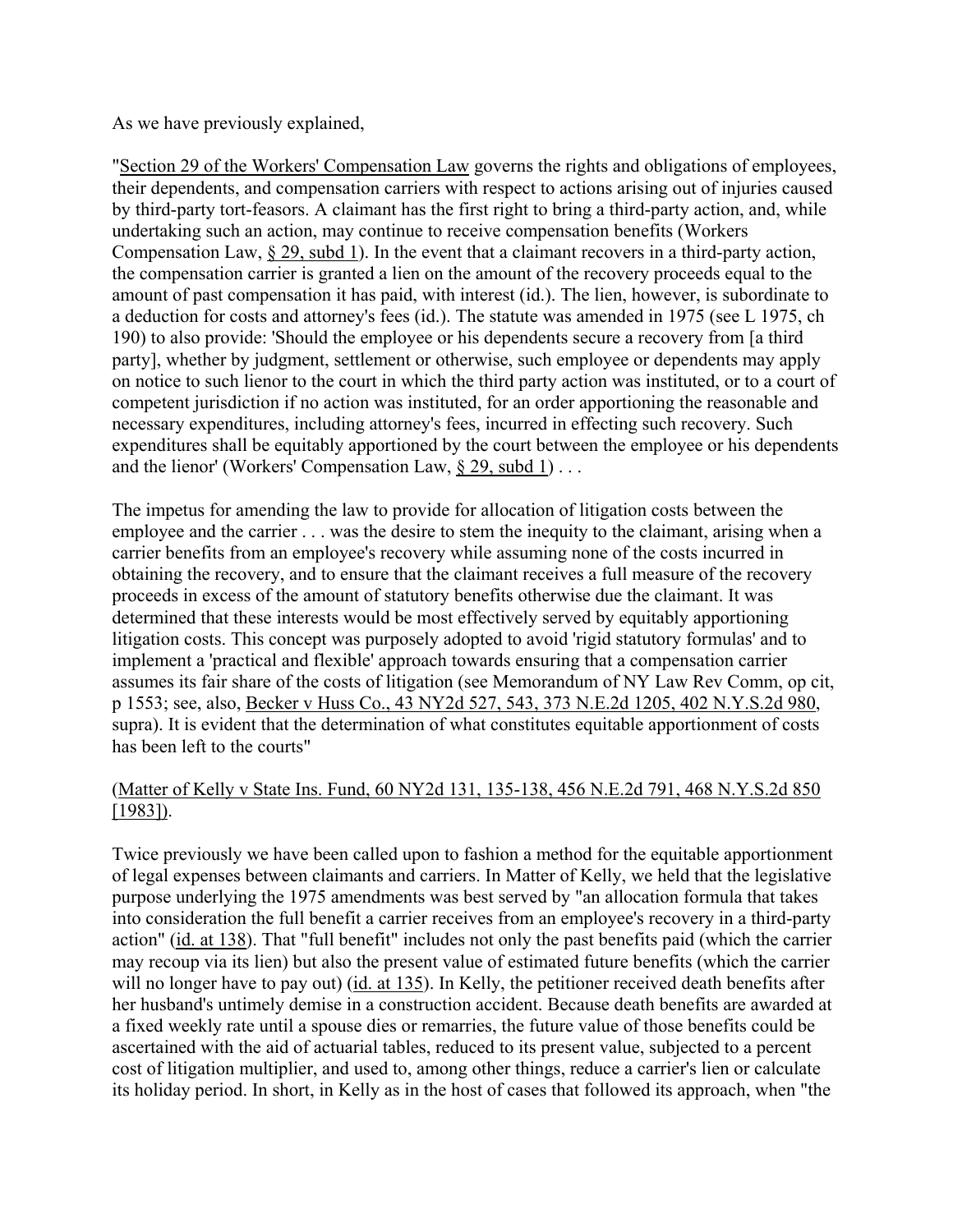As we have previously explained,

"Section 29 of the Workers' Compensation Law governs the rights and obligations of employees, their dependents, and compensation carriers with respect to actions arising out of injuries caused by third-party tort-feasors. A claimant has the first right to bring a third-party action, and, while undertaking such an action, may continue to receive compensation benefits (Workers Compensation Law, § 29, subd 1). In the event that a claimant recovers in a third-party action, the compensation carrier is granted a lien on the amount of the recovery proceeds equal to the amount of past compensation it has paid, with interest (id.). The lien, however, is subordinate to a deduction for costs and attorney's fees (id.). The statute was amended in 1975 (see L 1975, ch 190) to also provide: 'Should the employee or his dependents secure a recovery from [a third party], whether by judgment, settlement or otherwise, such employee or dependents may apply on notice to such lienor to the court in which the third party action was instituted, or to a court of competent jurisdiction if no action was instituted, for an order apportioning the reasonable and necessary expenditures, including attorney's fees, incurred in effecting such recovery. Such expenditures shall be equitably apportioned by the court between the employee or his dependents and the lienor' (Workers' Compensation Law, § 29, subd 1) . . .

The impetus for amending the law to provide for allocation of litigation costs between the employee and the carrier . . . was the desire to stem the inequity to the claimant, arising when a carrier benefits from an employee's recovery while assuming none of the costs incurred in obtaining the recovery, and to ensure that the claimant receives a full measure of the recovery proceeds in excess of the amount of statutory benefits otherwise due the claimant. It was determined that these interests would be most effectively served by equitably apportioning litigation costs. This concept was purposely adopted to avoid 'rigid statutory formulas' and to implement a 'practical and flexible' approach towards ensuring that a compensation carrier assumes its fair share of the costs of litigation (see Memorandum of NY Law Rev Comm, op cit, p 1553; see, also, Becker v Huss Co., 43 NY2d 527, 543, 373 N.E.2d 1205, 402 N.Y.S.2d 980, supra). It is evident that the determination of what constitutes equitable apportionment of costs has been left to the courts"

## (Matter of Kelly v State Ins. Fund, 60 NY2d 131, 135-138, 456 N.E.2d 791, 468 N.Y.S.2d 850 [1983]).

Twice previously we have been called upon to fashion a method for the equitable apportionment of legal expenses between claimants and carriers. In Matter of Kelly, we held that the legislative purpose underlying the 1975 amendments was best served by "an allocation formula that takes into consideration the full benefit a carrier receives from an employee's recovery in a third-party action" (id. at 138). That "full benefit" includes not only the past benefits paid (which the carrier may recoup via its lien) but also the present value of estimated future benefits (which the carrier will no longer have to pay out) (id. at 135). In Kelly, the petitioner received death benefits after her husband's untimely demise in a construction accident. Because death benefits are awarded at a fixed weekly rate until a spouse dies or remarries, the future value of those benefits could be ascertained with the aid of actuarial tables, reduced to its present value, subjected to a percent cost of litigation multiplier, and used to, among other things, reduce a carrier's lien or calculate its holiday period. In short, in Kelly as in the host of cases that followed its approach, when "the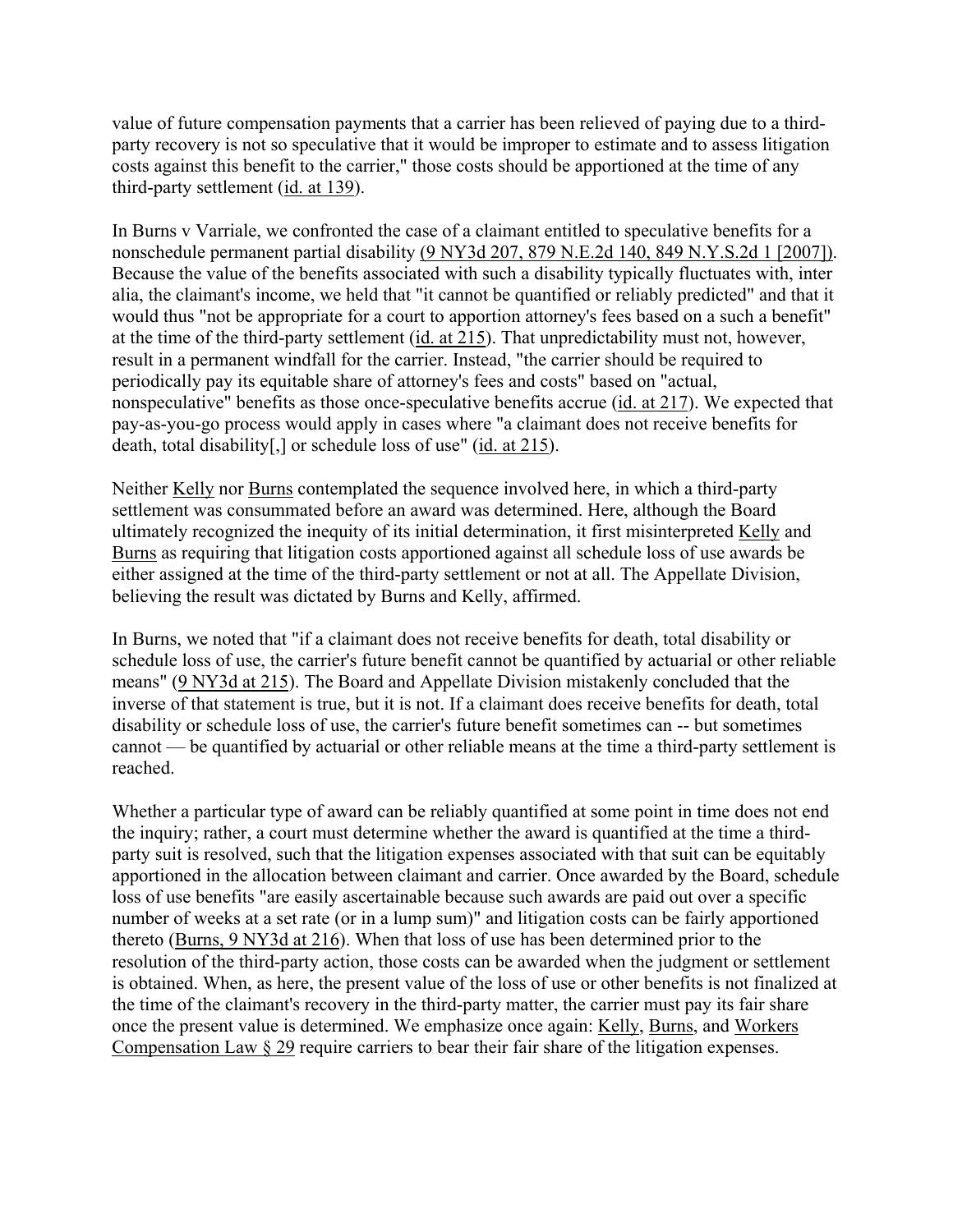value of future compensation payments that a carrier has been relieved of paying due to a thirdparty recovery is not so speculative that it would be improper to estimate and to assess litigation costs against this benefit to the carrier," those costs should be apportioned at the time of any third-party settlement (id. at 139).

In Burns v Varriale, we confronted the case of a claimant entitled to speculative benefits for a nonschedule permanent partial disability (9 NY3d 207, 879 N.E.2d 140, 849 N.Y.S.2d 1 [2007]). Because the value of the benefits associated with such a disability typically fluctuates with, inter alia, the claimant's income, we held that "it cannot be quantified or reliably predicted" and that it would thus "not be appropriate for a court to apportion attorney's fees based on a such a benefit" at the time of the third-party settlement (id. at 215). That unpredictability must not, however, result in a permanent windfall for the carrier. Instead, "the carrier should be required to periodically pay its equitable share of attorney's fees and costs" based on "actual, nonspeculative" benefits as those once-speculative benefits accrue (id. at 217). We expected that pay-as-you-go process would apply in cases where "a claimant does not receive benefits for death, total disability[,] or schedule loss of use" (id. at 215).

Neither Kelly nor Burns contemplated the sequence involved here, in which a third-party settlement was consummated before an award was determined. Here, although the Board ultimately recognized the inequity of its initial determination, it first misinterpreted Kelly and Burns as requiring that litigation costs apportioned against all schedule loss of use awards be either assigned at the time of the third-party settlement or not at all. The Appellate Division, believing the result was dictated by Burns and Kelly, affirmed.

In Burns, we noted that "if a claimant does not receive benefits for death, total disability or schedule loss of use, the carrier's future benefit cannot be quantified by actuarial or other reliable means" (9 NY3d at 215). The Board and Appellate Division mistakenly concluded that the inverse of that statement is true, but it is not. If a claimant does receive benefits for death, total disability or schedule loss of use, the carrier's future benefit sometimes can -- but sometimes cannot — be quantified by actuarial or other reliable means at the time a third-party settlement is reached.

Whether a particular type of award can be reliably quantified at some point in time does not end the inquiry; rather, a court must determine whether the award is quantified at the time a thirdparty suit is resolved, such that the litigation expenses associated with that suit can be equitably apportioned in the allocation between claimant and carrier. Once awarded by the Board, schedule loss of use benefits "are easily ascertainable because such awards are paid out over a specific number of weeks at a set rate (or in a lump sum)" and litigation costs can be fairly apportioned thereto (Burns, 9 NY3d at 216). When that loss of use has been determined prior to the resolution of the third-party action, those costs can be awarded when the judgment or settlement is obtained. When, as here, the present value of the loss of use or other benefits is not finalized at the time of the claimant's recovery in the third-party matter, the carrier must pay its fair share once the present value is determined. We emphasize once again: Kelly, Burns, and Workers Compensation Law § 29 require carriers to bear their fair share of the litigation expenses.